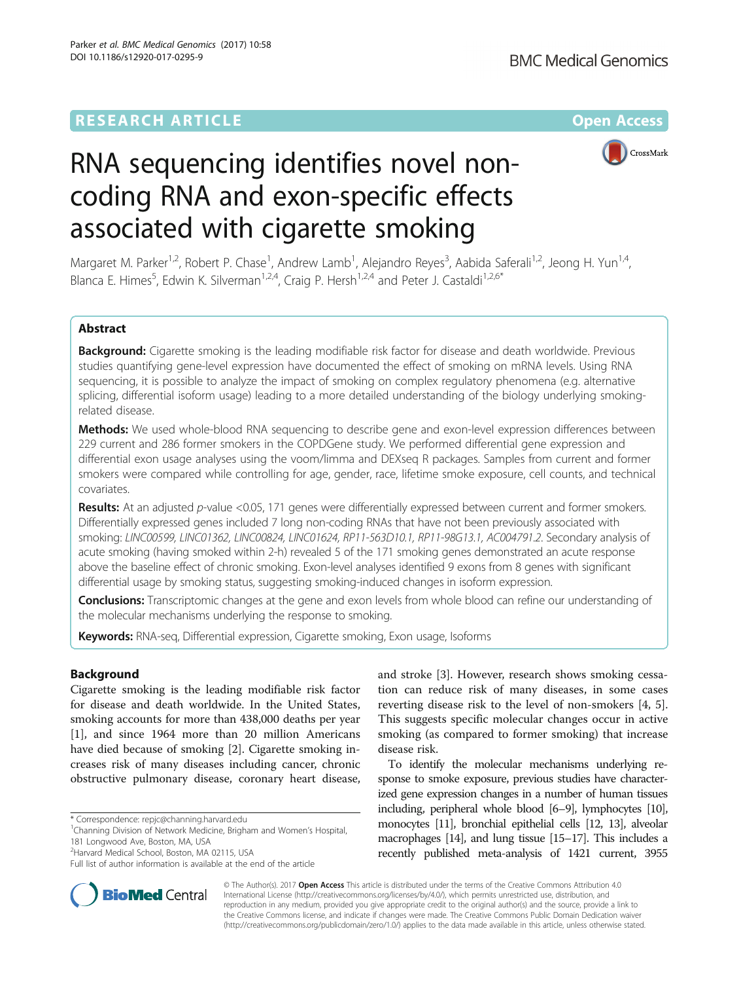

# RNA sequencing identifies novel noncoding RNA and exon-specific effects associated with cigarette smoking

Margaret M. Parker<sup>1,2</sup>, Robert P. Chase<sup>1</sup>, Andrew Lamb<sup>1</sup>, Alejandro Reyes<sup>3</sup>, Aabida Saferali<sup>1,2</sup>, Jeong H. Yun<sup>1,4</sup>, Blanca E. Himes<sup>5</sup>, Edwin K. Silverman<sup>1,2,4</sup>, Craig P. Hersh<sup>1,2,4</sup> and Peter J. Castaldi<sup>1,2,6\*</sup>

# Abstract

Background: Cigarette smoking is the leading modifiable risk factor for disease and death worldwide. Previous studies quantifying gene-level expression have documented the effect of smoking on mRNA levels. Using RNA sequencing, it is possible to analyze the impact of smoking on complex regulatory phenomena (e.g. alternative splicing, differential isoform usage) leading to a more detailed understanding of the biology underlying smokingrelated disease.

Methods: We used whole-blood RNA sequencing to describe gene and exon-level expression differences between 229 current and 286 former smokers in the COPDGene study. We performed differential gene expression and differential exon usage analyses using the voom/limma and DEXseq R packages. Samples from current and former smokers were compared while controlling for age, gender, race, lifetime smoke exposure, cell counts, and technical covariates.

Results: At an adjusted p-value <0.05, 171 genes were differentially expressed between current and former smokers. Differentially expressed genes included 7 long non-coding RNAs that have not been previously associated with smoking: LINC00599, LINC01362, LINC00824, LINC01624, RP11-563D10.1, RP11-98G13.1, AC004791.2. Secondary analysis of acute smoking (having smoked within 2-h) revealed 5 of the 171 smoking genes demonstrated an acute response above the baseline effect of chronic smoking. Exon-level analyses identified 9 exons from 8 genes with significant differential usage by smoking status, suggesting smoking-induced changes in isoform expression.

**Conclusions:** Transcriptomic changes at the gene and exon levels from whole blood can refine our understanding of the molecular mechanisms underlying the response to smoking.

Keywords: RNA-seq, Differential expression, Cigarette smoking, Exon usage, Isoforms

# Background

Cigarette smoking is the leading modifiable risk factor for disease and death worldwide. In the United States, smoking accounts for more than 438,000 deaths per year [[1\]](#page-8-0), and since 1964 more than 20 million Americans have died because of smoking [[2\]](#page-8-0). Cigarette smoking increases risk of many diseases including cancer, chronic obstructive pulmonary disease, coronary heart disease,

\* Correspondence: [repjc@channing.harvard.edu](mailto:repjc@channing.harvard.edu) <sup>1</sup>

2 Harvard Medical School, Boston, MA 02115, USA

and stroke [[3\]](#page-8-0). However, research shows smoking cessation can reduce risk of many diseases, in some cases reverting disease risk to the level of non-smokers [[4, 5](#page-8-0)]. This suggests specific molecular changes occur in active smoking (as compared to former smoking) that increase disease risk.

To identify the molecular mechanisms underlying response to smoke exposure, previous studies have characterized gene expression changes in a number of human tissues including, peripheral whole blood [\[6](#page-8-0)–[9](#page-8-0)], lymphocytes [\[10\]](#page-8-0), monocytes [\[11\]](#page-8-0), bronchial epithelial cells [\[12](#page-8-0), [13\]](#page-8-0), alveolar macrophages [\[14](#page-8-0)], and lung tissue [\[15](#page-8-0)–[17\]](#page-8-0). This includes a recently published meta-analysis of 1421 current, 3955



© The Author(s). 2017 **Open Access** This article is distributed under the terms of the Creative Commons Attribution 4.0 International License [\(http://creativecommons.org/licenses/by/4.0/](http://creativecommons.org/licenses/by/4.0/)), which permits unrestricted use, distribution, and reproduction in any medium, provided you give appropriate credit to the original author(s) and the source, provide a link to the Creative Commons license, and indicate if changes were made. The Creative Commons Public Domain Dedication waiver [\(http://creativecommons.org/publicdomain/zero/1.0/](http://creativecommons.org/publicdomain/zero/1.0/)) applies to the data made available in this article, unless otherwise stated.

<sup>&</sup>lt;sup>1</sup>Channing Division of Network Medicine, Brigham and Women's Hospital, 181 Longwood Ave, Boston, MA, USA

Full list of author information is available at the end of the article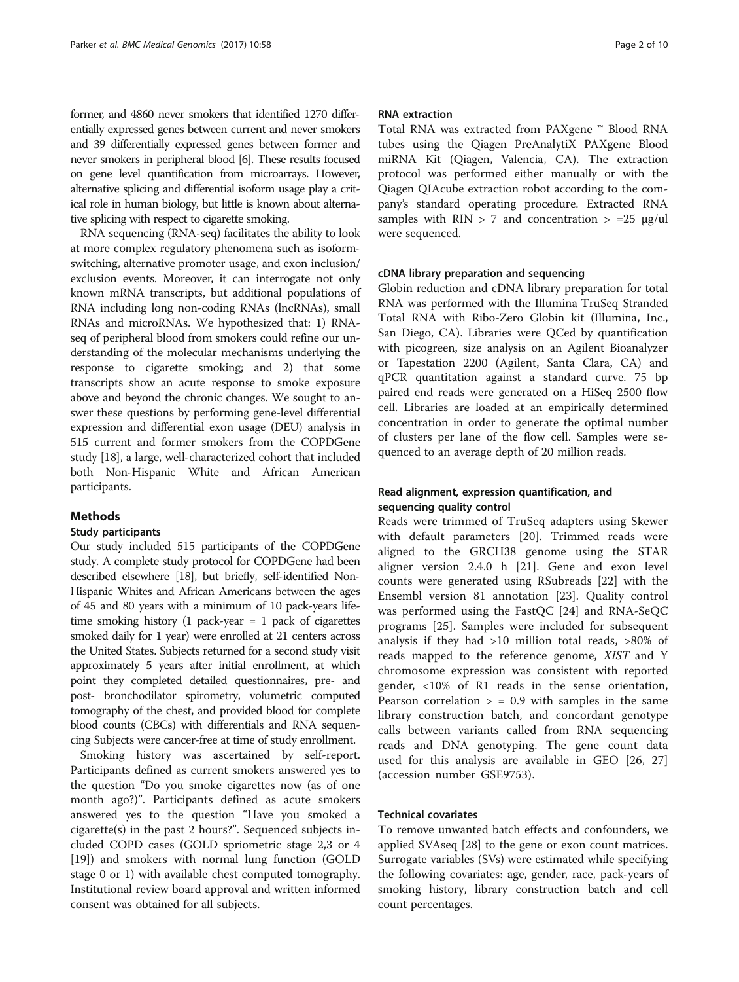former, and 4860 never smokers that identified 1270 differentially expressed genes between current and never smokers and 39 differentially expressed genes between former and never smokers in peripheral blood [\[6\]](#page-8-0). These results focused on gene level quantification from microarrays. However, alternative splicing and differential isoform usage play a critical role in human biology, but little is known about alternative splicing with respect to cigarette smoking.

RNA sequencing (RNA-seq) facilitates the ability to look at more complex regulatory phenomena such as isoformswitching, alternative promoter usage, and exon inclusion/ exclusion events. Moreover, it can interrogate not only known mRNA transcripts, but additional populations of RNA including long non-coding RNAs (lncRNAs), small RNAs and microRNAs. We hypothesized that: 1) RNAseq of peripheral blood from smokers could refine our understanding of the molecular mechanisms underlying the response to cigarette smoking; and 2) that some transcripts show an acute response to smoke exposure above and beyond the chronic changes. We sought to answer these questions by performing gene-level differential expression and differential exon usage (DEU) analysis in 515 current and former smokers from the COPDGene study [\[18\]](#page-8-0), a large, well-characterized cohort that included both Non-Hispanic White and African American participants.

# Methods

## Study participants

Our study included 515 participants of the COPDGene study. A complete study protocol for COPDGene had been described elsewhere [\[18\]](#page-8-0), but briefly, self-identified Non-Hispanic Whites and African Americans between the ages of 45 and 80 years with a minimum of 10 pack-years lifetime smoking history  $(1$  pack-year = 1 pack of cigarettes smoked daily for 1 year) were enrolled at 21 centers across the United States. Subjects returned for a second study visit approximately 5 years after initial enrollment, at which point they completed detailed questionnaires, pre- and post- bronchodilator spirometry, volumetric computed tomography of the chest, and provided blood for complete blood counts (CBCs) with differentials and RNA sequencing Subjects were cancer-free at time of study enrollment.

Smoking history was ascertained by self-report. Participants defined as current smokers answered yes to the question "Do you smoke cigarettes now (as of one month ago?)". Participants defined as acute smokers answered yes to the question "Have you smoked a cigarette(s) in the past 2 hours?". Sequenced subjects included COPD cases (GOLD spriometric stage 2,3 or 4 [[19\]](#page-8-0)) and smokers with normal lung function (GOLD stage 0 or 1) with available chest computed tomography. Institutional review board approval and written informed consent was obtained for all subjects.

## RNA extraction

Total RNA was extracted from PAXgene ™ Blood RNA tubes using the Qiagen PreAnalytiX PAXgene Blood miRNA Kit (Qiagen, Valencia, CA). The extraction protocol was performed either manually or with the Qiagen QIAcube extraction robot according to the company's standard operating procedure. Extracted RNA samples with  $RIN > 7$  and concentration  $> =25 \mu g/\text{ul}$ were sequenced.

## cDNA library preparation and sequencing

Globin reduction and cDNA library preparation for total RNA was performed with the Illumina TruSeq Stranded Total RNA with Ribo-Zero Globin kit (Illumina, Inc., San Diego, CA). Libraries were QCed by quantification with picogreen, size analysis on an Agilent Bioanalyzer or Tapestation 2200 (Agilent, Santa Clara, CA) and qPCR quantitation against a standard curve. 75 bp paired end reads were generated on a HiSeq 2500 flow cell. Libraries are loaded at an empirically determined concentration in order to generate the optimal number of clusters per lane of the flow cell. Samples were sequenced to an average depth of 20 million reads.

# Read alignment, expression quantification, and sequencing quality control

Reads were trimmed of TruSeq adapters using Skewer with default parameters [[20\]](#page-8-0). Trimmed reads were aligned to the GRCH38 genome using the STAR aligner version 2.4.0 h [\[21](#page-8-0)]. Gene and exon level counts were generated using RSubreads [[22\]](#page-8-0) with the Ensembl version 81 annotation [\[23](#page-9-0)]. Quality control was performed using the FastQC [[24\]](#page-9-0) and RNA-SeQC programs [[25](#page-9-0)]. Samples were included for subsequent analysis if they had >10 million total reads, >80% of reads mapped to the reference genome, XIST and Y chromosome expression was consistent with reported gender, <10% of R1 reads in the sense orientation, Pearson correlation  $>$  = 0.9 with samples in the same library construction batch, and concordant genotype calls between variants called from RNA sequencing reads and DNA genotyping. The gene count data used for this analysis are available in GEO [[26, 27](#page-9-0)] (accession number GSE9753).

# Technical covariates

To remove unwanted batch effects and confounders, we applied SVAseq [\[28\]](#page-9-0) to the gene or exon count matrices. Surrogate variables (SVs) were estimated while specifying the following covariates: age, gender, race, pack-years of smoking history, library construction batch and cell count percentages.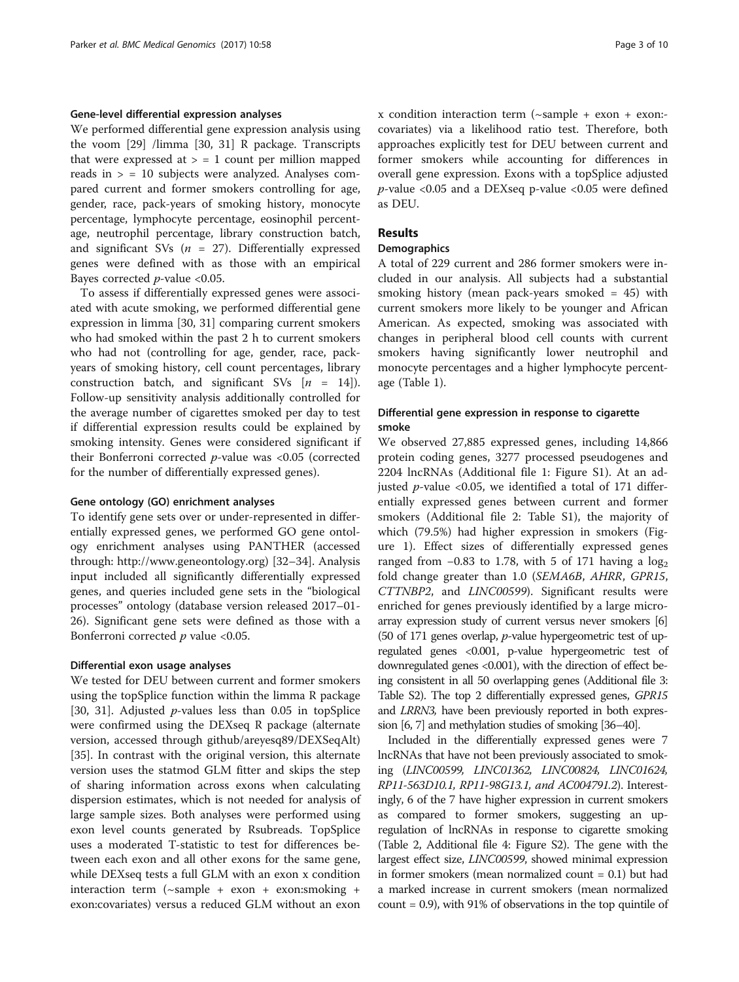# Gene-level differential expression analyses

We performed differential gene expression analysis using the voom [[29\]](#page-9-0) /limma [[30, 31](#page-9-0)] R package. Transcripts that were expressed at  $>$  = 1 count per million mapped reads in  $>$  = 10 subjects were analyzed. Analyses compared current and former smokers controlling for age, gender, race, pack-years of smoking history, monocyte percentage, lymphocyte percentage, eosinophil percentage, neutrophil percentage, library construction batch, and significant SVs ( $n = 27$ ). Differentially expressed genes were defined with as those with an empirical Bayes corrected  $p$ -value <0.05.

To assess if differentially expressed genes were associated with acute smoking, we performed differential gene expression in limma [[30, 31\]](#page-9-0) comparing current smokers who had smoked within the past 2 h to current smokers who had not (controlling for age, gender, race, packyears of smoking history, cell count percentages, library construction batch, and significant SVs  $[n = 14]$ . Follow-up sensitivity analysis additionally controlled for the average number of cigarettes smoked per day to test if differential expression results could be explained by smoking intensity. Genes were considered significant if their Bonferroni corrected  $p$ -value was <0.05 (corrected for the number of differentially expressed genes).

## Gene ontology (GO) enrichment analyses

To identify gene sets over or under-represented in differentially expressed genes, we performed GO gene ontology enrichment analyses using PANTHER (accessed through: [http://www.geneontology.org\)](http://www.geneontology.org) [[32](#page-9-0)–[34](#page-9-0)]. Analysis input included all significantly differentially expressed genes, and queries included gene sets in the "biological processes" ontology (database version released 2017–01- 26). Significant gene sets were defined as those with a Bonferroni corrected  $p$  value <0.05.

## Differential exon usage analyses

We tested for DEU between current and former smokers using the topSplice function within the limma R package [[30, 31](#page-9-0)]. Adjusted  $p$ -values less than 0.05 in topSplice were confirmed using the DEXseq R package (alternate version, accessed through github/areyesq89/DEXSeqAlt) [[35\]](#page-9-0). In contrast with the original version, this alternate version uses the statmod GLM fitter and skips the step of sharing information across exons when calculating dispersion estimates, which is not needed for analysis of large sample sizes. Both analyses were performed using exon level counts generated by Rsubreads. TopSplice uses a moderated T-statistic to test for differences between each exon and all other exons for the same gene, while DEXseq tests a full GLM with an exon x condition interaction term ( $\sim$ sample + exon + exon:smoking + exon:covariates) versus a reduced GLM without an exon x condition interaction term ( $\sim$ sample + exon + exon:covariates) via a likelihood ratio test. Therefore, both approaches explicitly test for DEU between current and former smokers while accounting for differences in overall gene expression. Exons with a topSplice adjusted  $p$ -value <0.05 and a DEXseq p-value <0.05 were defined as DEU.

# Results

## **Demographics**

A total of 229 current and 286 former smokers were included in our analysis. All subjects had a substantial smoking history (mean pack-years smoked = 45) with current smokers more likely to be younger and African American. As expected, smoking was associated with changes in peripheral blood cell counts with current smokers having significantly lower neutrophil and monocyte percentages and a higher lymphocyte percentage (Table [1](#page-3-0)).

# Differential gene expression in response to cigarette smoke

We observed 27,885 expressed genes, including 14,866 protein coding genes, 3277 processed pseudogenes and 2204 lncRNAs (Additional file [1](#page-7-0): Figure S1). At an adjusted  $p$ -value <0.05, we identified a total of 171 differentially expressed genes between current and former smokers (Additional file [2:](#page-7-0) Table S1), the majority of which (79.5%) had higher expression in smokers (Figure [1\)](#page-3-0). Effect sizes of differentially expressed genes ranged from  $-0.83$  to 1.78, with 5 of 171 having a  $log<sub>2</sub>$ fold change greater than 1.0 (SEMA6B, AHRR, GPR15, CTTNBP2, and LINC00599). Significant results were enriched for genes previously identified by a large microarray expression study of current versus never smokers [\[6](#page-8-0)] (50 of 171 genes overlap,  $p$ -value hypergeometric test of upregulated genes <0.001, p-value hypergeometric test of downregulated genes <0.001), with the direction of effect being consistent in all 50 overlapping genes (Additional file [3](#page-7-0): Table S2). The top 2 differentially expressed genes, GPR15 and LRRN3, have been previously reported in both expression [\[6, 7\]](#page-8-0) and methylation studies of smoking [\[36](#page-9-0)–[40](#page-9-0)].

Included in the differentially expressed genes were 7 lncRNAs that have not been previously associated to smoking (LINC00599, LINC01362, LINC00824, LINC01624, RP11-563D10.1, RP11-98G13.1, and AC004791.2). Interestingly, 6 of the 7 have higher expression in current smokers as compared to former smokers, suggesting an upregulation of lncRNAs in response to cigarette smoking (Table [2,](#page-4-0) Additional file [4:](#page-7-0) Figure S2). The gene with the largest effect size, LINC00599, showed minimal expression in former smokers (mean normalized count  $= 0.1$ ) but had a marked increase in current smokers (mean normalized count = 0.9), with 91% of observations in the top quintile of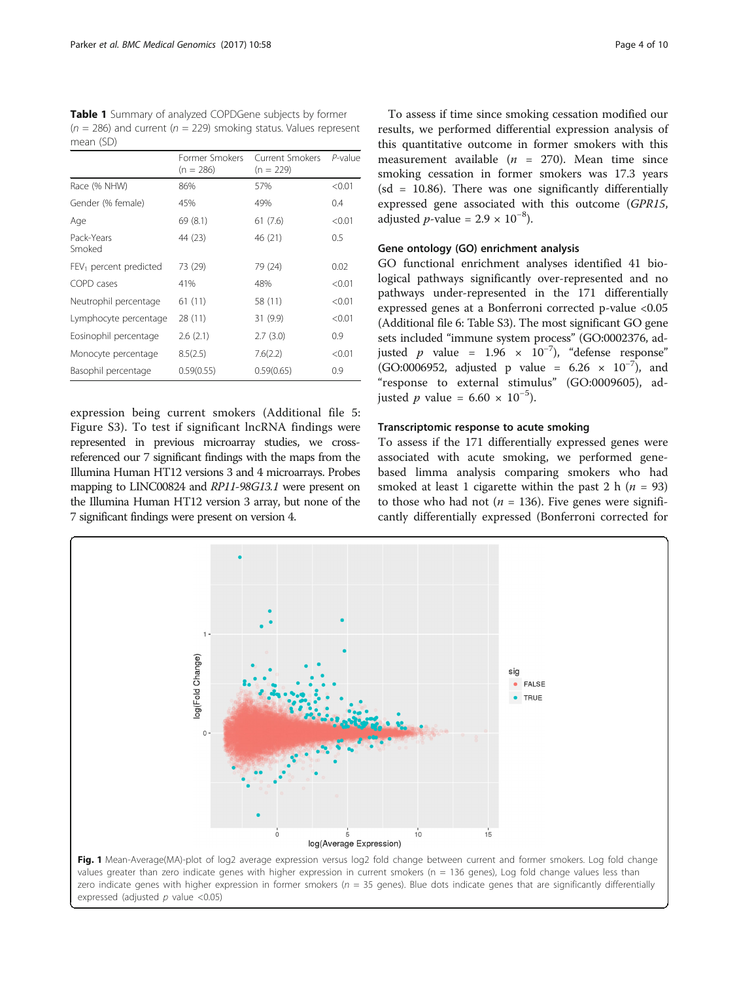<span id="page-3-0"></span>Table 1 Summary of analyzed COPDGene subjects by former ( $n = 286$ ) and current ( $n = 229$ ) smoking status. Values represent mean (SD)

|                          | Former Smokers<br>$(n = 286)$ | Current Smokers<br>$(n = 229)$ | $P$ -value |
|--------------------------|-------------------------------|--------------------------------|------------|
| Race (% NHW)             | 86%                           | 57%                            | < 0.01     |
| Gender (% female)        | 45%                           | 49%                            | 0.4        |
| Age                      | 69 (8.1)                      | 61(7.6)                        | < 0.01     |
| Pack-Years<br>Smoked     | 44 (23)                       | 46 (21)                        | 0.5        |
| $FEV1$ percent predicted | 73 (29)                       | 79 (24)                        | 0.02       |
| COPD cases               | 41%                           | 48%                            | < 0.01     |
| Neutrophil percentage    | 61(11)                        | 58 (11)                        | < 0.01     |
| Lymphocyte percentage    | 28 (11)                       | 31(9.9)                        | < 0.01     |
| Eosinophil percentage    | 2.6(2.1)                      | 2.7(3.0)                       | 0.9        |
| Monocyte percentage      | 8.5(2.5)                      | 7.6(2.2)                       | < 0.01     |
| Basophil percentage      | 0.59(0.55)                    | 0.59(0.65)                     | 0.9        |

expression being current smokers (Additional file [5](#page-7-0): Figure S3). To test if significant lncRNA findings were represented in previous microarray studies, we crossreferenced our 7 significant findings with the maps from the Illumina Human HT12 versions 3 and 4 microarrays. Probes mapping to LINC00824 and RP11-98G13.1 were present on the Illumina Human HT12 version 3 array, but none of the 7 significant findings were present on version 4.

To assess if time since smoking cessation modified our results, we performed differential expression analysis of this quantitative outcome in former smokers with this measurement available  $(n = 270)$ . Mean time since smoking cessation in former smokers was 17.3 years  $(sd = 10.86)$ . There was one significantly differentially expressed gene associated with this outcome (GPR15, adjusted *p*-value =  $2.9 \times 10^{-8}$ ).

# Gene ontology (GO) enrichment analysis

GO functional enrichment analyses identified 41 biological pathways significantly over-represented and no pathways under-represented in the 171 differentially expressed genes at a Bonferroni corrected p-value <0.05 (Additional file [6](#page-7-0): Table S3). The most significant GO gene sets included "immune system process" (GO:0002376, adjusted *p* value =  $1.96 \times 10^{-7}$ ), "defense response" (GO:0006952, adjusted p value =  $6.26 \times 10^{-7}$ ), and "response to external stimulus" (GO:0009605), adjusted *p* value =  $6.60 \times 10^{-5}$ ).

# Transcriptomic response to acute smoking

To assess if the 171 differentially expressed genes were associated with acute smoking, we performed genebased limma analysis comparing smokers who had smoked at least 1 cigarette within the past 2 h ( $n = 93$ ) to those who had not ( $n = 136$ ). Five genes were significantly differentially expressed (Bonferroni corrected for



values greater than zero indicate genes with higher expression in current smokers (n = 136 genes), Log fold change values less than zero indicate genes with higher expression in former smokers ( $n = 35$  genes). Blue dots indicate genes that are significantly differentially expressed (adjusted  $p$  value <0.05)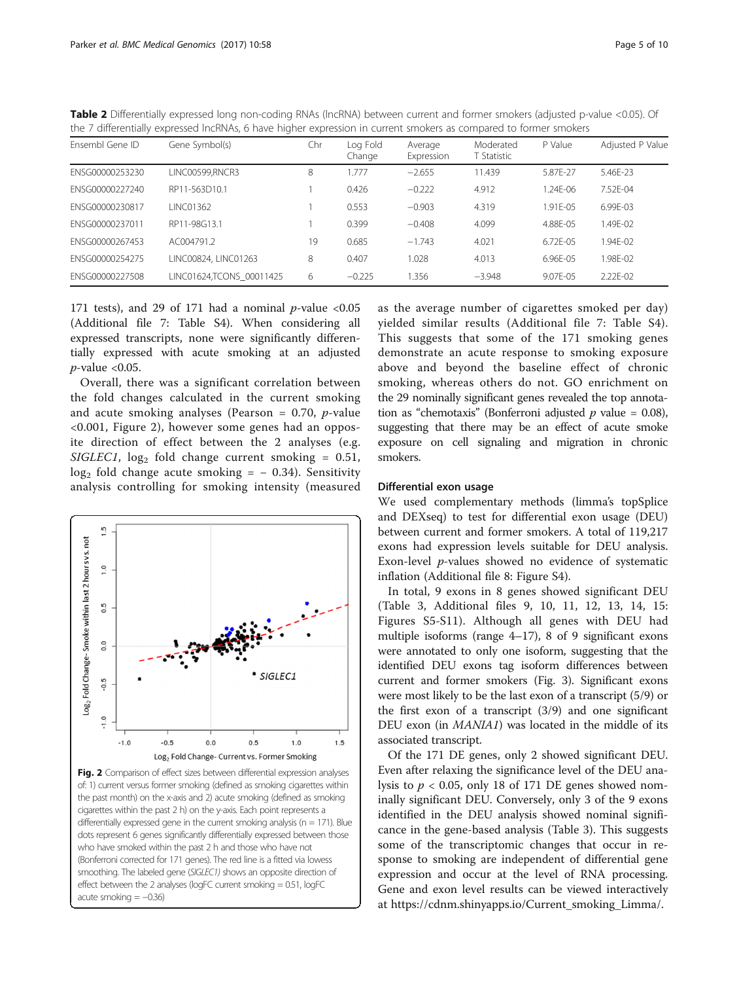<span id="page-4-0"></span>

| Table 2 Differentially expressed long non-coding RNAs (IncRNA) between current and former smokers (adjusted p-value <0.05). Of |  |  |
|--------------------------------------------------------------------------------------------------------------------------------|--|--|
| the 7 differentially expressed IncRNAs, 6 have higher expression in current smokers as compared to former smokers              |  |  |

| Ensembl Gene ID | Gene Symbol(s)           | Chr | Log Fold<br>Change | Average<br>Expression | Moderated<br>T Statistic | P Value  | Adjusted P Value |
|-----------------|--------------------------|-----|--------------------|-----------------------|--------------------------|----------|------------------|
| ENSG00000253230 | <b>LINC00599.RNCR3</b>   | 8   | .777               | $-2.655$              | 11.439                   | 5.87E-27 | 5.46E-23         |
| ENSG00000227240 | RP11-563D10.1            |     | 0.426              | $-0.222$              | 4.912                    | 1.24E-06 | 7.52E-04         |
| ENSG00000230817 | LINC01362                |     | 0.553              | $-0.903$              | 4.319                    | 1.91E-05 | 6.99E-03         |
| FNSG00000237011 | RP11-98G13.1             |     | 0.399              | $-0.408$              | 4.099                    | 4.88E-05 | .49E-02          |
| FNSG00000267453 | AC004791.2               | 19  | 0.685              | $-1.743$              | 4.021                    | 6.72E-05 | .94E-02          |
| ENSG00000254275 | LINC00824, LINC01263     | 8   | 0.407              | 1.028                 | 4.013                    | 6.96E-05 | .98E-02          |
| ENSG00000227508 | LINC01624,TCONS 00011425 | 6   | $-0.225$           | .356                  | $-3.948$                 | 9.07E-05 | 2.22E-02         |

171 tests), and 29 of 171 had a nominal  $p$ -value <0.05 (Additional file [7](#page-7-0): Table S4). When considering all expressed transcripts, none were significantly differentially expressed with acute smoking at an adjusted  $p$ -value <0.05.

Overall, there was a significant correlation between the fold changes calculated in the current smoking and acute smoking analyses (Pearson  $= 0.70$ , *p*-value <0.001, Figure 2), however some genes had an opposite direction of effect between the 2 analyses (e.g.  $SIGLEC1$ ,  $log<sub>2</sub>$  fold change current smoking = 0.51,  $log<sub>2</sub>$  fold change acute smoking = - 0.34). Sensitivity analysis controlling for smoking intensity (measured



Fig. 2 Comparison of effect sizes between differential expression analyses of: 1) current versus former smoking (defined as smoking cigarettes within the past month) on the x-axis and 2) acute smoking (defined as smoking cigarettes within the past 2 h) on the y-axis. Each point represents a differentially expressed gene in the current smoking analysis ( $n = 171$ ). Blue dots represent 6 genes significantly differentially expressed between those who have smoked within the past 2 h and those who have not (Bonferroni corrected for 171 genes). The red line is a fitted via lowess smoothing. The labeled gene (SIGLEC1) shows an opposite direction of effect between the 2 analyses (logFC current smoking = 0.51, logFC acute smoking  $= -0.36$ )

as the average number of cigarettes smoked per day) yielded similar results (Additional file [7](#page-7-0): Table S4). This suggests that some of the 171 smoking genes demonstrate an acute response to smoking exposure above and beyond the baseline effect of chronic smoking, whereas others do not. GO enrichment on the 29 nominally significant genes revealed the top annotation as "chemotaxis" (Bonferroni adjusted  $p$  value = 0.08), suggesting that there may be an effect of acute smoke exposure on cell signaling and migration in chronic smokers.

#### Differential exon usage

We used complementary methods (limma's topSplice and DEXseq) to test for differential exon usage (DEU) between current and former smokers. A total of 119,217 exons had expression levels suitable for DEU analysis. Exon-level p-values showed no evidence of systematic inflation (Additional file [8](#page-7-0): Figure S4).

In total, 9 exons in 8 genes showed significant DEU (Table [3,](#page-5-0) Additional files [9](#page-7-0), [10](#page-7-0), [11, 12, 13](#page-7-0), [14](#page-7-0), [15](#page-7-0): Figures S5-S11). Although all genes with DEU had multiple isoforms (range 4–17), 8 of 9 significant exons were annotated to only one isoform, suggesting that the identified DEU exons tag isoform differences between current and former smokers (Fig. [3\)](#page-5-0). Significant exons were most likely to be the last exon of a transcript (5/9) or the first exon of a transcript (3/9) and one significant DEU exon (in MANIA1) was located in the middle of its associated transcript.

Of the 171 DE genes, only 2 showed significant DEU. Even after relaxing the significance level of the DEU analysis to  $p < 0.05$ , only 18 of 171 DE genes showed nominally significant DEU. Conversely, only 3 of the 9 exons identified in the DEU analysis showed nominal significance in the gene-based analysis (Table [3\)](#page-5-0). This suggests some of the transcriptomic changes that occur in response to smoking are independent of differential gene expression and occur at the level of RNA processing. Gene and exon level results can be viewed interactively at [https://cdnm.shinyapps.io/Current\\_smoking\\_Limma/.](https://cdnm.shinyapps.io/Current_smoking_Limma)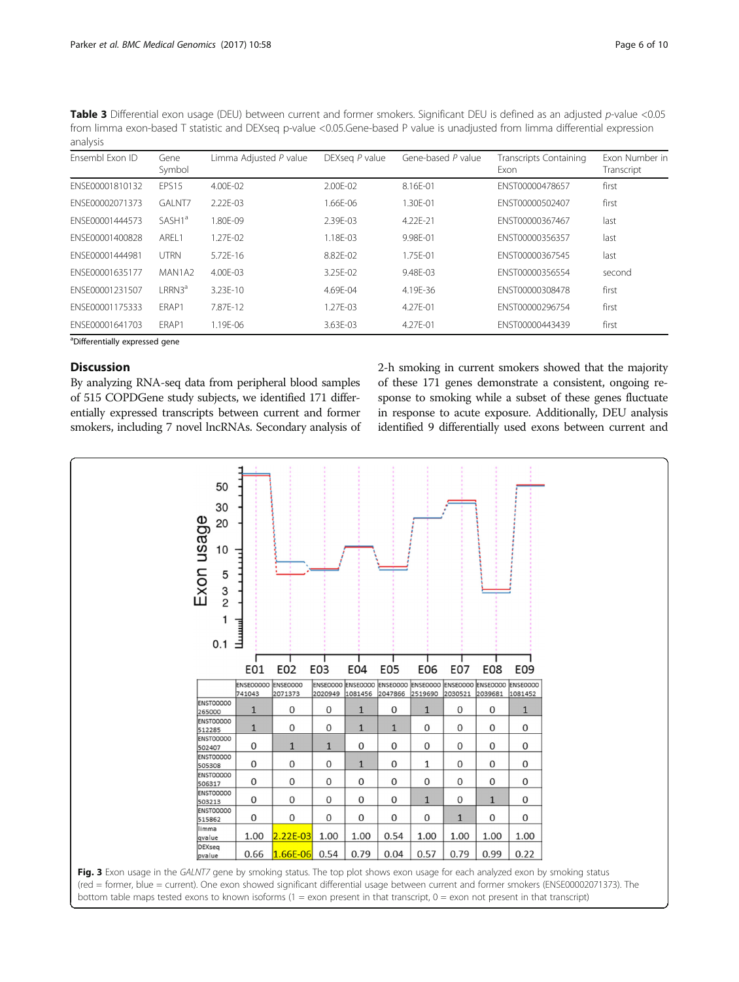<span id="page-5-0"></span>Table 3 Differential exon usage (DEU) between current and former smokers. Significant DEU is defined as an adjusted p-value <0.05 from limma exon-based T statistic and DEXseq p-value <0.05.Gene-based P value is unadjusted from limma differential expression analysis

| Ensembl Exon ID | Gene<br>Symbol      | Limma Adjusted P value | DEXseq $P$ value | Gene-based P value | <b>Transcripts Containing</b><br>Exon | Exon Number in<br>Transcript |
|-----------------|---------------------|------------------------|------------------|--------------------|---------------------------------------|------------------------------|
| ENSE00001810132 | EPS15               | 4.00E-02               | 2.00E-02         | 8.16E-01           | ENST00000478657                       | first                        |
| FNSF00002071373 | GALNT7              | 2.22E-03               | 1.66E-06         | 1.30E-01           | ENST00000502407                       | first                        |
| FNSF00001444573 | SASH <sub>1</sub> ª | 1.80E-09               | 2.39E-03         | 4.22E-21           | FNST00000367467                       | last                         |
| FNSF00001400828 | ARFI <sub>1</sub>   | 1.27E-02               | 1.18E-03         | 9.98E-01           | FNST00000356357                       | last                         |
| FNSF00001444981 | <b>UTRN</b>         | $5.72F-16$             | 8.82E-02         | 1.75E-01           | FNST00000367545                       | last                         |
| FNSF00001635177 | MAN1A2              | 4.00E-03               | 3.25E-02         | 9.48E-03           | ENST00000356554                       | second                       |
| FNSF00001231507 | LRRN3 <sup>a</sup>  | 3.23E-10               | 4.69E-04         | 4.19E-36           | ENST00000308478                       | first                        |
| FNSF00001175333 | FRAP1               | 7.87E-12               | 1.27E-03         | 4.27F-01           | FNST00000296754                       | first                        |
| FNSF00001641703 | ERAP1               | 1.19E-06               | 3.63E-03         | 4.27E-01           | ENST00000443439                       | first                        |
|                 |                     |                        |                  |                    |                                       |                              |

<sup>a</sup>Differentially expressed gene

# **Discussion**

By analyzing RNA-seq data from peripheral blood samples of 515 COPDGene study subjects, we identified 171 differentially expressed transcripts between current and former smokers, including 7 novel lncRNAs. Secondary analysis of 2-h smoking in current smokers showed that the majority of these 171 genes demonstrate a consistent, ongoing response to smoking while a subset of these genes fluctuate in response to acute exposure. Additionally, DEU analysis identified 9 differentially used exons between current and

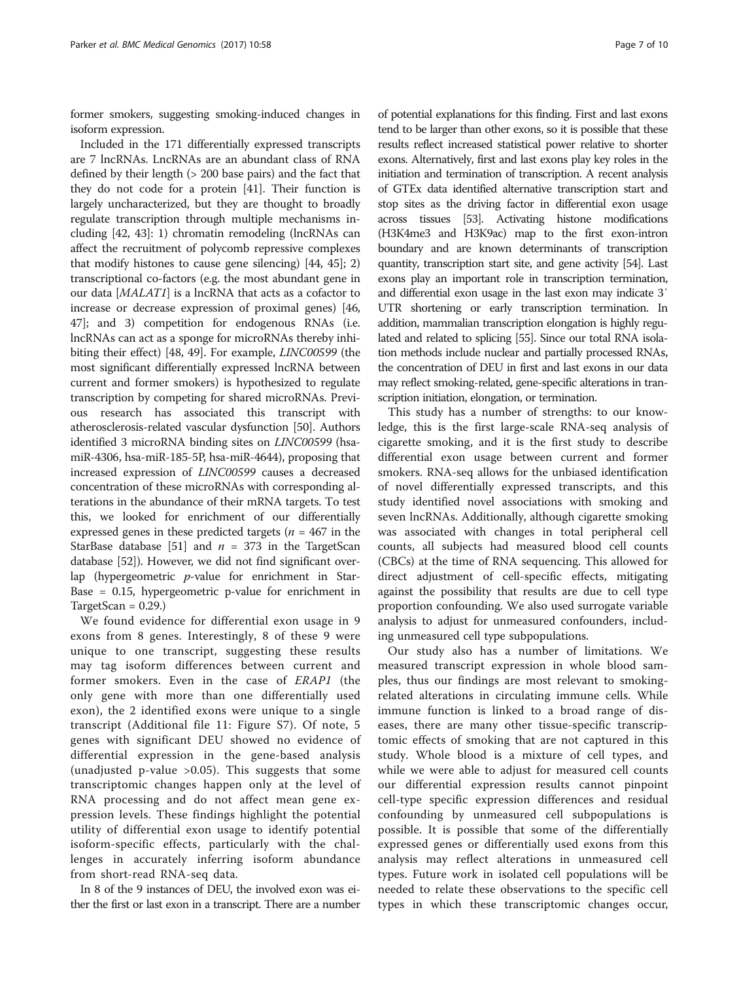former smokers, suggesting smoking-induced changes in isoform expression.

Included in the 171 differentially expressed transcripts are 7 lncRNAs. LncRNAs are an abundant class of RNA defined by their length (> 200 base pairs) and the fact that they do not code for a protein [[41\]](#page-9-0). Their function is largely uncharacterized, but they are thought to broadly regulate transcription through multiple mechanisms including [\[42, 43](#page-9-0)]: 1) chromatin remodeling (lncRNAs can affect the recruitment of polycomb repressive complexes that modify histones to cause gene silencing) [[44](#page-9-0), [45\]](#page-9-0); 2) transcriptional co-factors (e.g. the most abundant gene in our data [MALAT1] is a lncRNA that acts as a cofactor to increase or decrease expression of proximal genes) [[46](#page-9-0), [47](#page-9-0)]; and 3) competition for endogenous RNAs (i.e. lncRNAs can act as a sponge for microRNAs thereby inhibiting their effect) [\[48, 49](#page-9-0)]. For example, LINC00599 (the most significant differentially expressed lncRNA between current and former smokers) is hypothesized to regulate transcription by competing for shared microRNAs. Previous research has associated this transcript with atherosclerosis-related vascular dysfunction [\[50\]](#page-9-0). Authors identified 3 microRNA binding sites on LINC00599 (hsamiR-4306, hsa-miR-185-5P, hsa-miR-4644), proposing that increased expression of LINC00599 causes a decreased concentration of these microRNAs with corresponding alterations in the abundance of their mRNA targets. To test this, we looked for enrichment of our differentially expressed genes in these predicted targets ( $n = 467$  in the StarBase database [\[51\]](#page-9-0) and  $n = 373$  in the TargetScan database [\[52](#page-9-0)]). However, we did not find significant overlap (hypergeometric  $p$ -value for enrichment in Star-Base = 0.15, hypergeometric p-value for enrichment in TargetScan =  $0.29$ .)

We found evidence for differential exon usage in 9 exons from 8 genes. Interestingly, 8 of these 9 were unique to one transcript, suggesting these results may tag isoform differences between current and former smokers. Even in the case of ERAP1 (the only gene with more than one differentially used exon), the 2 identified exons were unique to a single transcript (Additional file [11](#page-7-0): Figure S7). Of note, 5 genes with significant DEU showed no evidence of differential expression in the gene-based analysis (unadjusted p-value >0.05). This suggests that some transcriptomic changes happen only at the level of RNA processing and do not affect mean gene expression levels. These findings highlight the potential utility of differential exon usage to identify potential isoform-specific effects, particularly with the challenges in accurately inferring isoform abundance from short-read RNA-seq data.

In 8 of the 9 instances of DEU, the involved exon was either the first or last exon in a transcript. There are a number

of potential explanations for this finding. First and last exons tend to be larger than other exons, so it is possible that these results reflect increased statistical power relative to shorter exons. Alternatively, first and last exons play key roles in the initiation and termination of transcription. A recent analysis of GTEx data identified alternative transcription start and stop sites as the driving factor in differential exon usage across tissues [\[53](#page-9-0)]. Activating histone modifications (H3K4me3 and H3K9ac) map to the first exon-intron boundary and are known determinants of transcription quantity, transcription start site, and gene activity [\[54\]](#page-9-0). Last exons play an important role in transcription termination, and differential exon usage in the last exon may indicate 3′ UTR shortening or early transcription termination. In addition, mammalian transcription elongation is highly regulated and related to splicing [\[55](#page-9-0)]. Since our total RNA isolation methods include nuclear and partially processed RNAs, the concentration of DEU in first and last exons in our data may reflect smoking-related, gene-specific alterations in transcription initiation, elongation, or termination.

This study has a number of strengths: to our knowledge, this is the first large-scale RNA-seq analysis of cigarette smoking, and it is the first study to describe differential exon usage between current and former smokers. RNA-seq allows for the unbiased identification of novel differentially expressed transcripts, and this study identified novel associations with smoking and seven lncRNAs. Additionally, although cigarette smoking was associated with changes in total peripheral cell counts, all subjects had measured blood cell counts (CBCs) at the time of RNA sequencing. This allowed for direct adjustment of cell-specific effects, mitigating against the possibility that results are due to cell type proportion confounding. We also used surrogate variable analysis to adjust for unmeasured confounders, including unmeasured cell type subpopulations.

Our study also has a number of limitations. We measured transcript expression in whole blood samples, thus our findings are most relevant to smokingrelated alterations in circulating immune cells. While immune function is linked to a broad range of diseases, there are many other tissue-specific transcriptomic effects of smoking that are not captured in this study. Whole blood is a mixture of cell types, and while we were able to adjust for measured cell counts our differential expression results cannot pinpoint cell-type specific expression differences and residual confounding by unmeasured cell subpopulations is possible. It is possible that some of the differentially expressed genes or differentially used exons from this analysis may reflect alterations in unmeasured cell types. Future work in isolated cell populations will be needed to relate these observations to the specific cell types in which these transcriptomic changes occur,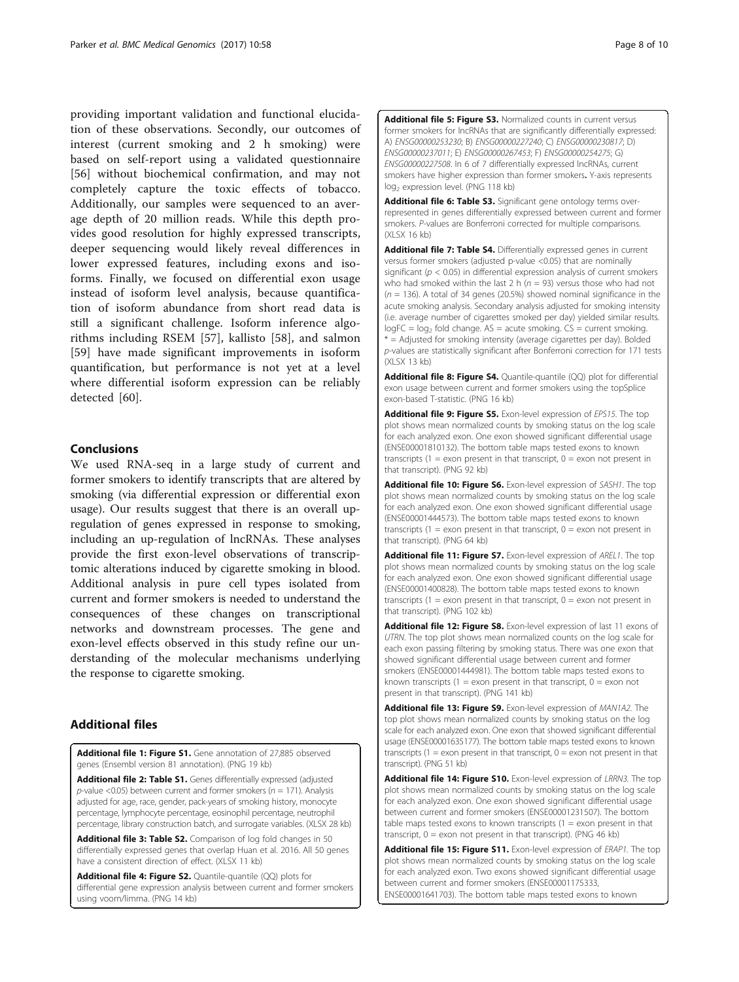<span id="page-7-0"></span>providing important validation and functional elucidation of these observations. Secondly, our outcomes of interest (current smoking and 2 h smoking) were based on self-report using a validated questionnaire [[56\]](#page-9-0) without biochemical confirmation, and may not completely capture the toxic effects of tobacco. Additionally, our samples were sequenced to an average depth of 20 million reads. While this depth provides good resolution for highly expressed transcripts, deeper sequencing would likely reveal differences in lower expressed features, including exons and isoforms. Finally, we focused on differential exon usage instead of isoform level analysis, because quantification of isoform abundance from short read data is still a significant challenge. Isoform inference algorithms including RSEM [[57\]](#page-9-0), kallisto [[58\]](#page-9-0), and salmon [[59\]](#page-9-0) have made significant improvements in isoform quantification, but performance is not yet at a level where differential isoform expression can be reliably detected [[60](#page-9-0)].

# Conclusions

We used RNA-seq in a large study of current and former smokers to identify transcripts that are altered by smoking (via differential expression or differential exon usage). Our results suggest that there is an overall upregulation of genes expressed in response to smoking, including an up-regulation of lncRNAs. These analyses provide the first exon-level observations of transcriptomic alterations induced by cigarette smoking in blood. Additional analysis in pure cell types isolated from current and former smokers is needed to understand the consequences of these changes on transcriptional networks and downstream processes. The gene and exon-level effects observed in this study refine our understanding of the molecular mechanisms underlying the response to cigarette smoking.

# Additional files

[Additional file 1: Figure S1.](dx.doi.org/10.1186/s12920-017-0295-9) Gene annotation of 27,885 observed genes (Ensembl version 81 annotation). (PNG 19 kb)

[Additional file 2: Table S1.](dx.doi.org/10.1186/s12920-017-0295-9) Genes differentially expressed (adjusted  $p$ -value <0.05) between current and former smokers ( $n = 171$ ). Analysis adjusted for age, race, gender, pack-years of smoking history, monocyte percentage, lymphocyte percentage, eosinophil percentage, neutrophil percentage, library construction batch, and surrogate variables. (XLSX 28 kb)

[Additional file 3: Table S2.](dx.doi.org/10.1186/s12920-017-0295-9) Comparison of log fold changes in 50 differentially expressed genes that overlap Huan et al. 2016. All 50 genes have a consistent direction of effect. (XLSX 11 kb)

[Additional file 4: Figure S2.](dx.doi.org/10.1186/s12920-017-0295-9) Quantile-quantile (QQ) plots for differential gene expression analysis between current and former smokers using voom/limma. (PNG 14 kb)

[Additional file 5: Figure S3.](dx.doi.org/10.1186/s12920-017-0295-9) Normalized counts in current versus former smokers for lncRNAs that are significantly differentially expressed: A) ENSG00000253230; B) ENSG00000227240; C) ENSG00000230817; D) ENSG00000237011; E) ENSG00000267453; F) ENSG00000254275; G) ENSG00000227508. In 6 of 7 differentially expressed lncRNAs, current smokers have higher expression than former smokers. Y-axis represents log<sub>2</sub> expression level. (PNG 118 kb)

[Additional file 6: Table S3.](dx.doi.org/10.1186/s12920-017-0295-9) Significant gene ontology terms overrepresented in genes differentially expressed between current and former smokers. P-values are Bonferroni corrected for multiple comparisons. (XLSX 16 kb)

[Additional file 7: Table S4.](dx.doi.org/10.1186/s12920-017-0295-9) Differentially expressed genes in current versus former smokers (adjusted p-value <0.05) that are nominally significant ( $p < 0.05$ ) in differential expression analysis of current smokers who had smoked within the last 2 h ( $n = 93$ ) versus those who had not  $(n = 136)$ . A total of 34 genes (20.5%) showed nominal significance in the acute smoking analysis. Secondary analysis adjusted for smoking intensity (i.e. average number of cigarettes smoked per day) yielded similar results.  $logFC = log<sub>2</sub>$  fold change. AS = acute smoking.  $CS =$  current smoking. \* = Adjusted for smoking intensity (average cigarettes per day). Bolded p-values are statistically significant after Bonferroni correction for 171 tests (XLSX 13 kb)

[Additional file 8: Figure S4.](dx.doi.org/10.1186/s12920-017-0295-9) Quantile-quantile (QQ) plot for differential exon usage between current and former smokers using the topSplice exon-based T-statistic. (PNG 16 kb)

[Additional file 9: Figure S5.](dx.doi.org/10.1186/s12920-017-0295-9) Exon-level expression of EPS15. The top plot shows mean normalized counts by smoking status on the log scale for each analyzed exon. One exon showed significant differential usage (ENSE00001810132). The bottom table maps tested exons to known transcripts (1 = exon present in that transcript,  $0 =$  exon not present in that transcript). (PNG 92 kb)

[Additional file 10: Figure S6.](dx.doi.org/10.1186/s12920-017-0295-9) Exon-level expression of SASH1. The top plot shows mean normalized counts by smoking status on the log scale for each analyzed exon. One exon showed significant differential usage (ENSE00001444573). The bottom table maps tested exons to known transcripts (1 = exon present in that transcript,  $0 =$  exon not present in that transcript). (PNG 64 kb)

[Additional file 11: Figure S7.](dx.doi.org/10.1186/s12920-017-0295-9) Exon-level expression of AREL1. The top plot shows mean normalized counts by smoking status on the log scale for each analyzed exon. One exon showed significant differential usage (ENSE00001400828). The bottom table maps tested exons to known transcripts  $(1 = e^{i\pi x})$  present in that transcript,  $0 = e^{i\pi x}$  not present in that transcript). (PNG 102 kb)

[Additional file 12: Figure S8.](dx.doi.org/10.1186/s12920-017-0295-9) Exon-level expression of last 11 exons of UTRN. The top plot shows mean normalized counts on the log scale for each exon passing filtering by smoking status. There was one exon that showed significant differential usage between current and former smokers (ENSE00001444981). The bottom table maps tested exons to known transcripts (1 = exon present in that transcript,  $0 =$  exon not present in that transcript). (PNG 141 kb)

[Additional file 13: Figure S9.](dx.doi.org/10.1186/s12920-017-0295-9) Exon-level expression of MAN1A2. The top plot shows mean normalized counts by smoking status on the log scale for each analyzed exon. One exon that showed significant differential usage (ENSE00001635177). The bottom table maps tested exons to known transcripts ( $1 =$  exon present in that transcript,  $0 =$  exon not present in that transcript). (PNG 51 kb)

[Additional file 14: Figure S10.](dx.doi.org/10.1186/s12920-017-0295-9) Exon-level expression of LRRN3. The top plot shows mean normalized counts by smoking status on the log scale for each analyzed exon. One exon showed significant differential usage between current and former smokers (ENSE00001231507). The bottom table maps tested exons to known transcripts  $(1 = e \times 1)$  present in that transcript,  $0 =$  exon not present in that transcript). (PNG 46 kb)

[Additional file 15: Figure S11.](dx.doi.org/10.1186/s12920-017-0295-9) Exon-level expression of ERAP1. The top plot shows mean normalized counts by smoking status on the log scale for each analyzed exon. Two exons showed significant differential usage between current and former smokers (ENSE00001175333, ENSE00001641703). The bottom table maps tested exons to known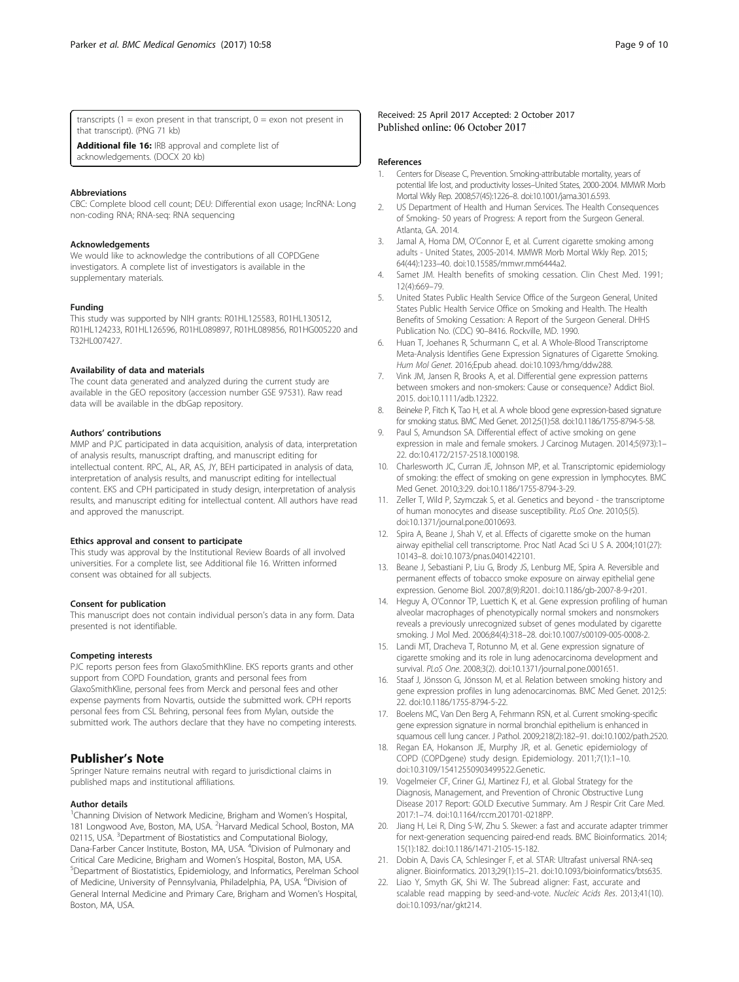<span id="page-8-0"></span>transcripts (1 = exon present in that transcript,  $0 =$  exon not present in that transcript). (PNG 71 kb)

[Additional file 16:](dx.doi.org/10.1186/s12920-017-0295-9) IRB approval and complete list of acknowledgements. (DOCX 20 kb)

#### Abbreviations

CBC: Complete blood cell count; DEU: Differential exon usage; lncRNA: Long non-coding RNA; RNA-seq: RNA sequencing

#### Acknowledgements

We would like to acknowledge the contributions of all COPDGene investigators. A complete list of investigators is available in the supplementary materials.

#### Funding

This study was supported by NIH grants: R01HL125583, R01HL130512, R01HL124233, R01HL126596, R01HL089897, R01HL089856, R01HG005220 and T32HL007427.

## Availability of data and materials

The count data generated and analyzed during the current study are available in the GEO repository (accession number GSE 97531). Raw read data will be available in the dbGap repository.

#### Authors' contributions

MMP and PJC participated in data acquisition, analysis of data, interpretation of analysis results, manuscript drafting, and manuscript editing for intellectual content. RPC, AL, AR, AS, JY, BEH participated in analysis of data, interpretation of analysis results, and manuscript editing for intellectual content. EKS and CPH participated in study design, interpretation of analysis results, and manuscript editing for intellectual content. All authors have read and approved the manuscript.

#### Ethics approval and consent to participate

This study was approval by the Institutional Review Boards of all involved universities. For a complete list, see Additional file 16. Written informed consent was obtained for all subjects.

#### Consent for publication

This manuscript does not contain individual person's data in any form. Data presented is not identifiable.

#### Competing interests

PJC reports person fees from GlaxoSmithKline. EKS reports grants and other support from COPD Foundation, grants and personal fees from GlaxoSmithKline, personal fees from Merck and personal fees and other expense payments from Novartis, outside the submitted work. CPH reports personal fees from CSL Behring, personal fees from Mylan, outside the submitted work. The authors declare that they have no competing interests.

## Publisher's Note

Springer Nature remains neutral with regard to jurisdictional claims in published maps and institutional affiliations.

#### Author details

<sup>1</sup>Channing Division of Network Medicine, Brigham and Women's Hospital, 181 Longwood Ave, Boston, MA, USA. <sup>2</sup>Harvard Medical School, Boston, MA 02115, USA. <sup>3</sup>Department of Biostatistics and Computational Biology, Dana-Farber Cancer Institute, Boston, MA, USA. <sup>4</sup>Division of Pulmonary and Critical Care Medicine, Brigham and Women's Hospital, Boston, MA, USA. <sup>5</sup> Department of Biostatistics, Epidemiology, and Informatics, Perelman School of Medicine, University of Pennsylvania, Philadelphia, PA, USA. <sup>6</sup>Division of General Internal Medicine and Primary Care, Brigham and Women's Hospital, Boston, MA, USA.

Received: 25 April 2017 Accepted: 2 October 2017 Published online: 06 October 2017

#### References

- 1. Centers for Disease C, Prevention. Smoking-attributable mortality, years of potential life lost, and productivity losses–United States, 2000-2004. MMWR Morb Mortal Wkly Rep. 2008;57(45):1226–8. doi[:10.1001/jama.301.6.593.](http://dx.doi.org/10.1001/jama.301.6.593)
- 2. US Department of Health and Human Services. The Health Consequences of Smoking- 50 years of Progress: A report from the Surgeon General. Atlanta, GA. 2014.
- Jamal A, Homa DM, O'Connor E, et al. Current cigarette smoking among adults - United States, 2005-2014. MMWR Morb Mortal Wkly Rep. 2015; 64(44):1233–40. doi:[10.15585/mmwr.mm6444a2](http://dx.doi.org/10.15585/mmwr.mm6444a2).
- 4. Samet JM. Health benefits of smoking cessation. Clin Chest Med. 1991; 12(4):669–79.
- 5. United States Public Health Service Office of the Surgeon General, United States Public Health Service Office on Smoking and Health. The Health Benefits of Smoking Cessation: A Report of the Surgeon General. DHHS Publication No. (CDC) 90–8416. Rockville, MD. 1990.
- 6. Huan T, Joehanes R, Schurmann C, et al. A Whole-Blood Transcriptome Meta-Analysis Identifies Gene Expression Signatures of Cigarette Smoking. Hum Mol Genet. 2016;Epub ahead. doi:[10.1093/hmg/ddw288.](http://dx.doi.org/10.1093/hmg/ddw288)
- 7. Vink JM, Jansen R, Brooks A, et al. Differential gene expression patterns between smokers and non-smokers: Cause or consequence? Addict Biol. 2015. doi[:10.1111/adb.12322](http://dx.doi.org/10.1111/adb.12322).
- 8. Beineke P, Fitch K, Tao H, et al. A whole blood gene expression-based signature for smoking status. BMC Med Genet. 2012;5(1):58. doi[:10.1186/1755-8794-5-58.](http://dx.doi.org/10.1186/1755-8794-5-58)
- 9. Paul S, Amundson SA. Differential effect of active smoking on gene expression in male and female smokers. J Carcinog Mutagen. 2014;5(973):1– 22. do:[10.4172/2157-2518.1000198](http://dx.doi.org/10.4172/2157-2518.1000198).
- 10. Charlesworth JC, Curran JE, Johnson MP, et al. Transcriptomic epidemiology of smoking: the effect of smoking on gene expression in lymphocytes. BMC Med Genet. 2010;3:29. doi:[10.1186/1755-8794-3-29.](http://dx.doi.org/10.1186/1755-8794-3-29)
- 11. Zeller T, Wild P, Szymczak S, et al. Genetics and beyond the transcriptome of human monocytes and disease susceptibility. PLoS One. 2010;5(5). doi[:10.1371/journal.pone.0010693.](http://dx.doi.org/10.1371/journal.pone.0010693)
- 12. Spira A, Beane J, Shah V, et al. Effects of cigarette smoke on the human airway epithelial cell transcriptome. Proc Natl Acad Sci U S A. 2004;101(27): 10143–8. doi[:10.1073/pnas.0401422101](http://dx.doi.org/10.1073/pnas.0401422101).
- 13. Beane J, Sebastiani P, Liu G, Brody JS, Lenburg ME, Spira A. Reversible and permanent effects of tobacco smoke exposure on airway epithelial gene expression. Genome Biol. 2007;8(9):R201. doi[:10.1186/gb-2007-8-9-r201](http://dx.doi.org/10.1186/gb-2007-8-9-r201).
- 14. Heguy A, O'Connor TP, Luettich K, et al. Gene expression profiling of human alveolar macrophages of phenotypically normal smokers and nonsmokers reveals a previously unrecognized subset of genes modulated by cigarette smoking. J Mol Med. 2006;84(4):318–28. doi[:10.1007/s00109-005-0008-2](http://dx.doi.org/10.1007/s00109-005-0008-2).
- 15. Landi MT, Dracheva T, Rotunno M, et al. Gene expression signature of cigarette smoking and its role in lung adenocarcinoma development and survival. PLoS One. 2008;3(2). doi[:10.1371/journal.pone.0001651](http://dx.doi.org/10.1371/journal.pone.0001651).
- 16. Staaf J, Jönsson G, Jönsson M, et al. Relation between smoking history and gene expression profiles in lung adenocarcinomas. BMC Med Genet. 2012;5: 22. doi[:10.1186/1755-8794-5-22](http://dx.doi.org/10.1186/1755-8794-5-22).
- 17. Boelens MC, Van Den Berg A, Fehrmann RSN, et al. Current smoking-specific gene expression signature in normal bronchial epithelium is enhanced in squamous cell lung cancer. J Pathol. 2009;218(2):182–91. doi:[10.1002/path.2520](http://dx.doi.org/10.1002/path.2520).
- 18. Regan EA, Hokanson JE, Murphy JR, et al. Genetic epidemiology of COPD (COPDgene) study design. Epidemiology. 2011;7(1):1–10. doi[:10.3109/15412550903499522.Genetic](http://dx.doi.org/10.3109/15412550903499522.Genetic).
- 19. Vogelmeier CF, Criner GJ, Martinez FJ, et al. Global Strategy for the Diagnosis, Management, and Prevention of Chronic Obstructive Lung Disease 2017 Report: GOLD Executive Summary. Am J Respir Crit Care Med. 2017:1–74. doi:[10.1164/rccm.201701-0218PP.](http://dx.doi.org/10.1164/rccm.201701-0218PP)
- 20. Jiang H, Lei R, Ding S-W, Zhu S. Skewer: a fast and accurate adapter trimmer for next-generation sequencing paired-end reads. BMC Bioinformatics. 2014; 15(1):182. doi:[10.1186/1471-2105-15-182](http://dx.doi.org/10.1186/1471-2105-15-182).
- 21. Dobin A, Davis CA, Schlesinger F, et al. STAR: Ultrafast universal RNA-seq aligner. Bioinformatics. 2013;29(1):15–21. doi:[10.1093/bioinformatics/bts635](http://dx.doi.org/10.1093/bioinformatics/bts635).
- 22. Liao Y, Smyth GK, Shi W. The Subread aligner: Fast, accurate and scalable read mapping by seed-and-vote. Nucleic Acids Res. 2013;41(10). doi[:10.1093/nar/gkt214.](http://dx.doi.org/10.1093/nar/gkt214)